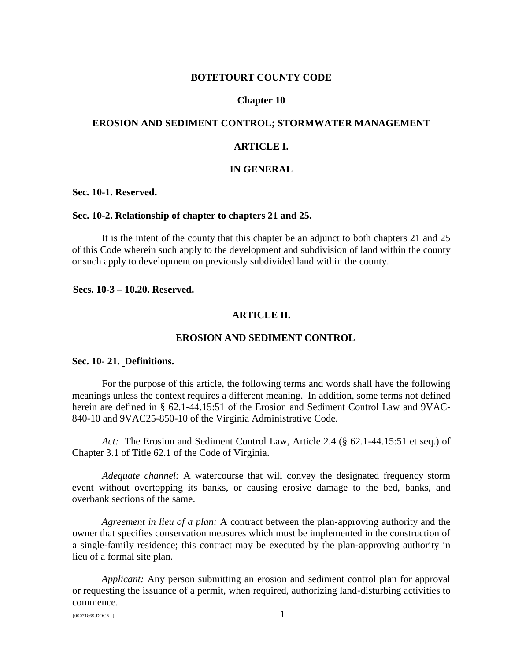## **BOTETOURT COUNTY CODE**

### **Chapter 10**

## **EROSION AND SEDIMENT CONTROL; STORMWATER MANAGEMENT**

## **ARTICLE I.**

## **IN GENERAL**

**Sec. 10-1. Reserved.**

#### **Sec. 10-2. Relationship of chapter to chapters 21 and 25.**

It is the intent of the county that this chapter be an adjunct to both chapters 21 and 25 of this Code wherein such apply to the development and subdivision of land within the county or such apply to development on previously subdivided land within the county.

**Secs. 10-3 – 10.20. Reserved.**

#### **ARTICLE II.**

#### **EROSION AND SEDIMENT CONTROL**

#### **Sec. 10- 21. Definitions.**

For the purpose of this article, the following terms and words shall have the following meanings unless the context requires a different meaning. In addition, some terms not defined herein are defined in § 62.1-44.15:51 of the Erosion and Sediment Control Law and 9VAC-840-10 and 9VAC25-850-10 of the Virginia Administrative Code.

*Act:* The Erosion and Sediment Control Law, Article 2.4 (§ 62.1-44.15:51 et seq.) of Chapter 3.1 of Title 62.1 of the Code of Virginia.

*Adequate channel:* A watercourse that will convey the designated frequency storm event without overtopping its banks, or causing erosive damage to the bed, banks, and overbank sections of the same.

*Agreement in lieu of a plan:* A contract between the plan-approving authority and the owner that specifies conservation measures which must be implemented in the construction of a single-family residence; this contract may be executed by the plan-approving authority in lieu of a formal site plan.

*Applicant:* Any person submitting an erosion and sediment control plan for approval or requesting the issuance of a permit, when required, authorizing land-disturbing activities to commence.

 ${100071869. \text{DOCX}}$  1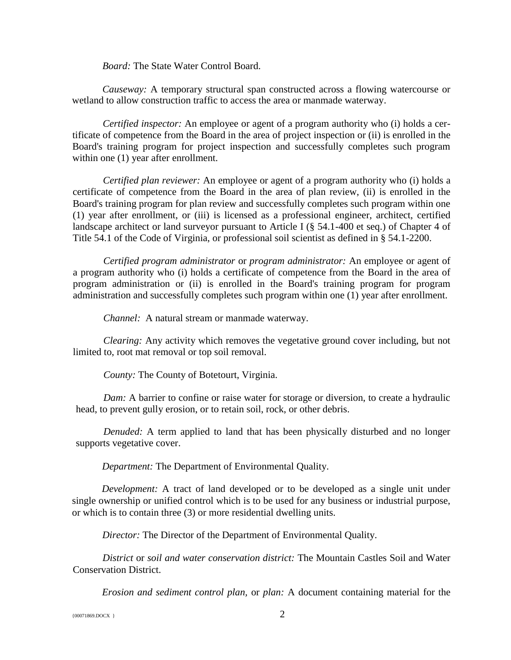*Board:* The State Water Control Board.

*Causeway:* A temporary structural span constructed across a flowing watercourse or wetland to allow construction traffic to access the area or manmade waterway.

*Certified inspector:* An employee or agent of a program authority who (i) holds a certificate of competence from the Board in the area of project inspection or (ii) is enrolled in the Board's training program for project inspection and successfully completes such program within one  $(1)$  year after enrollment.

*Certified plan reviewer:* An employee or agent of a program authority who (i) holds a certificate of competence from the Board in the area of plan review, (ii) is enrolled in the Board's training program for plan review and successfully completes such program within one (1) year after enrollment, or (iii) is licensed as a professional engineer, architect, certified landscape architect or land surveyor pursuant to Article I (§ 54.1-400 et seq.) of Chapter 4 of Title 54.1 of the Code of Virginia, or professional soil scientist as defined in § 54.1-2200.

*Certified program administrator* or *program administrator:* An employee or agent of a program authority who (i) holds a certificate of competence from the Board in the area of program administration or (ii) is enrolled in the Board's training program for program administration and successfully completes such program within one (1) year after enrollment.

*Channel:* A natural stream or manmade waterway.

*Clearing:* Any activity which removes the vegetative ground cover including, but not limited to, root mat removal or top soil removal.

*County:* The County of Botetourt, Virginia.

*Dam:* A barrier to confine or raise water for storage or diversion, to create a hydraulic head, to prevent gully erosion, or to retain soil, rock, or other debris.

*Denuded:* A term applied to land that has been physically disturbed and no longer supports vegetative cover.

*Department:* The Department of Environmental Quality.

*Development:* A tract of land developed or to be developed as a single unit under single ownership or unified control which is to be used for any business or industrial purpose, or which is to contain three (3) or more residential dwelling units.

*Director:* The Director of the Department of Environmental Quality.

*District* or *soil and water conservation district:* The Mountain Castles Soil and Water Conservation District.

*Erosion and sediment control plan,* or *plan:* A document containing material for the

{00071869.DOCX } 2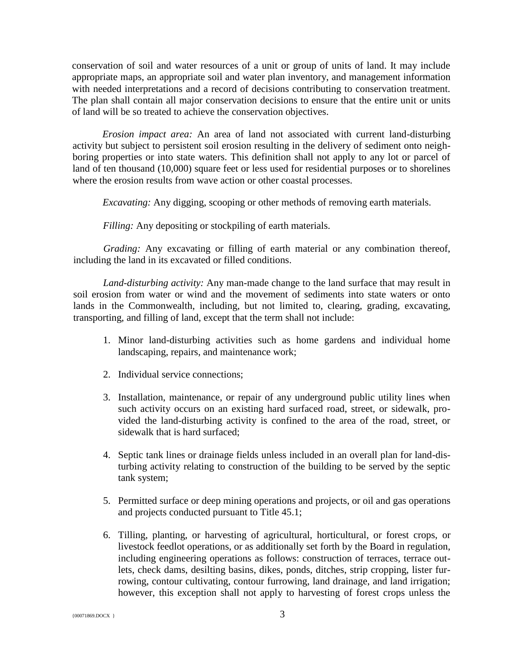conservation of soil and water resources of a unit or group of units of land. It may include appropriate maps, an appropriate soil and water plan inventory, and management information with needed interpretations and a record of decisions contributing to conservation treatment. The plan shall contain all major conservation decisions to ensure that the entire unit or units of land will be so treated to achieve the conservation objectives.

*Erosion impact area:* An area of land not associated with current land-disturbing activity but subject to persistent soil erosion resulting in the delivery of sediment onto neighboring properties or into state waters. This definition shall not apply to any lot or parcel of land of ten thousand (10,000) square feet or less used for residential purposes or to shorelines where the erosion results from wave action or other coastal processes.

*Excavating:* Any digging, scooping or other methods of removing earth materials.

*Filling:* Any depositing or stockpiling of earth materials.

*Grading:* Any excavating or filling of earth material or any combination thereof, including the land in its excavated or filled conditions.

*Land-disturbing activity:* Any man-made change to the land surface that may result in soil erosion from water or wind and the movement of sediments into state waters or onto lands in the Commonwealth, including, but not limited to, clearing, grading, excavating, transporting, and filling of land, except that the term shall not include:

- 1. Minor land-disturbing activities such as home gardens and individual home landscaping, repairs, and maintenance work;
- 2. Individual service connections;
- 3. Installation, maintenance, or repair of any underground public utility lines when such activity occurs on an existing hard surfaced road, street, or sidewalk, provided the land-disturbing activity is confined to the area of the road, street, or sidewalk that is hard surfaced;
- 4. Septic tank lines or drainage fields unless included in an overall plan for land-disturbing activity relating to construction of the building to be served by the septic tank system;
- 5. Permitted surface or deep mining operations and projects, or oil and gas operations and projects conducted pursuant to Title 45.1;
- 6. Tilling, planting, or harvesting of agricultural, horticultural, or forest crops, or livestock feedlot operations, or as additionally set forth by the Board in regulation, including engineering operations as follows: construction of terraces, terrace outlets, check dams, desilting basins, dikes, ponds, ditches, strip cropping, lister furrowing, contour cultivating, contour furrowing, land drainage, and land irrigation; however, this exception shall not apply to harvesting of forest crops unless the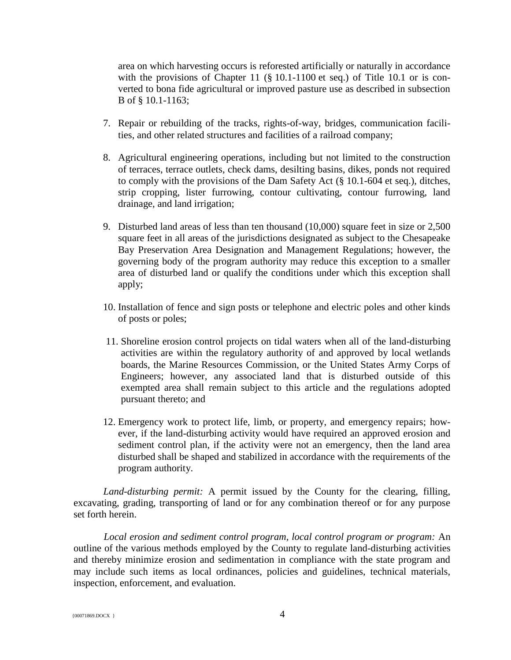area on which harvesting occurs is reforested artificially or naturally in accordance with the provisions of Chapter 11 (§ 10.1-1100 et seq.) of Title 10.1 or is converted to bona fide agricultural or improved pasture use as described in subsection B of § 10.1-1163;

- 7. Repair or rebuilding of the tracks, rights-of-way, bridges, communication facilities, and other related structures and facilities of a railroad company;
- 8. Agricultural engineering operations, including but not limited to the construction of terraces, terrace outlets, check dams, desilting basins, dikes, ponds not required to comply with the provisions of the Dam Safety Act (§ 10.1-604 et seq.), ditches, strip cropping, lister furrowing, contour cultivating, contour furrowing, land drainage, and land irrigation;
- 9. Disturbed land areas of less than ten thousand (10,000) square feet in size or 2,500 square feet in all areas of the jurisdictions designated as subject to the Chesapeake Bay Preservation Area Designation and Management Regulations; however, the governing body of the program authority may reduce this exception to a smaller area of disturbed land or qualify the conditions under which this exception shall apply;
- 10. Installation of fence and sign posts or telephone and electric poles and other kinds of posts or poles;
- 11. Shoreline erosion control projects on tidal waters when all of the land-disturbing activities are within the regulatory authority of and approved by local wetlands boards, the Marine Resources Commission, or the United States Army Corps of Engineers; however, any associated land that is disturbed outside of this exempted area shall remain subject to this article and the regulations adopted pursuant thereto; and
- 12. Emergency work to protect life, limb, or property, and emergency repairs; however, if the land-disturbing activity would have required an approved erosion and sediment control plan, if the activity were not an emergency, then the land area disturbed shall be shaped and stabilized in accordance with the requirements of the program authority.

*Land-disturbing permit:* A permit issued by the County for the clearing, filling, excavating, grading, transporting of land or for any combination thereof or for any purpose set forth herein.

*Local erosion and sediment control program, local control program or program:* An outline of the various methods employed by the County to regulate land-disturbing activities and thereby minimize erosion and sedimentation in compliance with the state program and may include such items as local ordinances, policies and guidelines, technical materials, inspection, enforcement, and evaluation.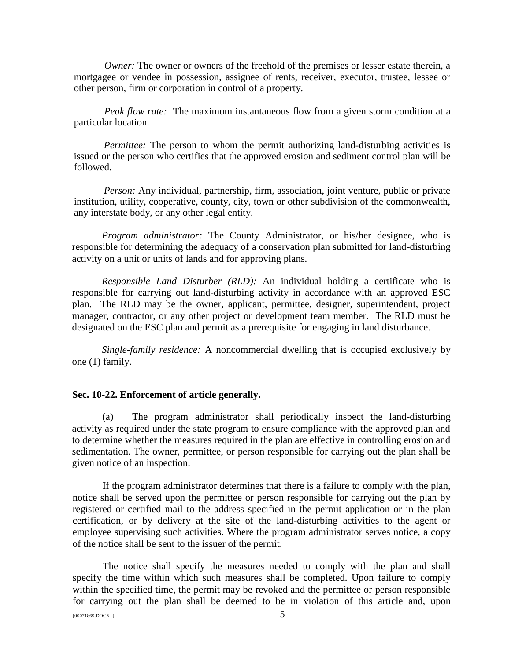*Owner:* The owner or owners of the freehold of the premises or lesser estate therein, a mortgagee or vendee in possession, assignee of rents, receiver, executor, trustee, lessee or other person, firm or corporation in control of a property.

*Peak flow rate:* The maximum instantaneous flow from a given storm condition at a particular location.

*Permittee:* The person to whom the permit authorizing land-disturbing activities is issued or the person who certifies that the approved erosion and sediment control plan will be followed.

*Person:* Any individual, partnership, firm, association, joint venture, public or private institution, utility, cooperative, county, city, town or other subdivision of the commonwealth, any interstate body, or any other legal entity.

*Program administrator:* The County Administrator, or his/her designee, who is responsible for determining the adequacy of a conservation plan submitted for land-disturbing activity on a unit or units of lands and for approving plans.

*Responsible Land Disturber (RLD):* An individual holding a certificate who is responsible for carrying out land-disturbing activity in accordance with an approved ESC plan. The RLD may be the owner, applicant, permittee, designer, superintendent, project manager, contractor, or any other project or development team member. The RLD must be designated on the ESC plan and permit as a prerequisite for engaging in land disturbance.

*Single-family residence:* A noncommercial dwelling that is occupied exclusively by one (1) family.

### **Sec. 10-22. Enforcement of article generally.**

(a) The program administrator shall periodically inspect the land-disturbing activity as required under the state program to ensure compliance with the approved plan and to determine whether the measures required in the plan are effective in controlling erosion and sedimentation. The owner, permittee, or person responsible for carrying out the plan shall be given notice of an inspection.

If the program administrator determines that there is a failure to comply with the plan, notice shall be served upon the permittee or person responsible for carrying out the plan by registered or certified mail to the address specified in the permit application or in the plan certification, or by delivery at the site of the land-disturbing activities to the agent or employee supervising such activities. Where the program administrator serves notice, a copy of the notice shall be sent to the issuer of the permit.

The notice shall specify the measures needed to comply with the plan and shall specify the time within which such measures shall be completed. Upon failure to comply within the specified time, the permit may be revoked and the permittee or person responsible for carrying out the plan shall be deemed to be in violation of this article and, upon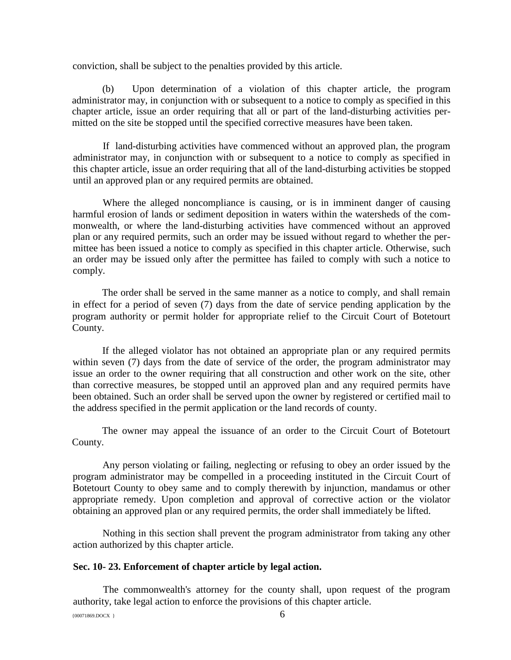conviction, shall be subject to the penalties provided by this article.

(b) Upon determination of a violation of this chapter article, the program administrator may, in conjunction with or subsequent to a notice to comply as specified in this chapter article, issue an order requiring that all or part of the land-disturbing activities permitted on the site be stopped until the specified corrective measures have been taken.

If land-disturbing activities have commenced without an approved plan, the program administrator may, in conjunction with or subsequent to a notice to comply as specified in this chapter article, issue an order requiring that all of the land-disturbing activities be stopped until an approved plan or any required permits are obtained.

Where the alleged noncompliance is causing, or is in imminent danger of causing harmful erosion of lands or sediment deposition in waters within the watersheds of the commonwealth, or where the land-disturbing activities have commenced without an approved plan or any required permits, such an order may be issued without regard to whether the permittee has been issued a notice to comply as specified in this chapter article. Otherwise, such an order may be issued only after the permittee has failed to comply with such a notice to comply.

The order shall be served in the same manner as a notice to comply, and shall remain in effect for a period of seven (7) days from the date of service pending application by the program authority or permit holder for appropriate relief to the Circuit Court of Botetourt County.

If the alleged violator has not obtained an appropriate plan or any required permits within seven (7) days from the date of service of the order, the program administrator may issue an order to the owner requiring that all construction and other work on the site, other than corrective measures, be stopped until an approved plan and any required permits have been obtained. Such an order shall be served upon the owner by registered or certified mail to the address specified in the permit application or the land records of county.

The owner may appeal the issuance of an order to the Circuit Court of Botetourt County.

Any person violating or failing, neglecting or refusing to obey an order issued by the program administrator may be compelled in a proceeding instituted in the Circuit Court of Botetourt County to obey same and to comply therewith by injunction, mandamus or other appropriate remedy. Upon completion and approval of corrective action or the violator obtaining an approved plan or any required permits, the order shall immediately be lifted.

Nothing in this section shall prevent the program administrator from taking any other action authorized by this chapter article.

#### **Sec. 10- 23. Enforcement of chapter article by legal action.**

The commonwealth's attorney for the county shall, upon request of the program authority, take legal action to enforce the provisions of this chapter article.

 ${60071869. \text{DOCX}}$  6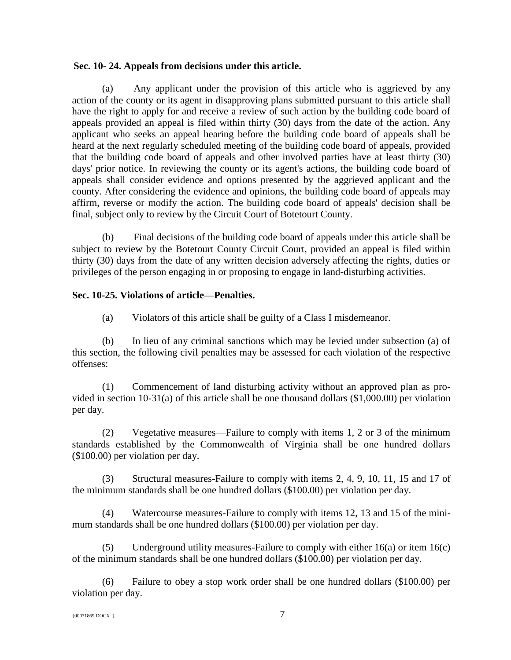## **Sec. 10- 24. Appeals from decisions under this article.**

(a) Any applicant under the provision of this article who is aggrieved by any action of the county or its agent in disapproving plans submitted pursuant to this article shall have the right to apply for and receive a review of such action by the building code board of appeals provided an appeal is filed within thirty (30) days from the date of the action. Any applicant who seeks an appeal hearing before the building code board of appeals shall be heard at the next regularly scheduled meeting of the building code board of appeals, provided that the building code board of appeals and other involved parties have at least thirty (30) days' prior notice. In reviewing the county or its agent's actions, the building code board of appeals shall consider evidence and options presented by the aggrieved applicant and the county. After considering the evidence and opinions, the building code board of appeals may affirm, reverse or modify the action. The building code board of appeals' decision shall be final, subject only to review by the Circuit Court of Botetourt County.

(b) Final decisions of the building code board of appeals under this article shall be subject to review by the Botetourt County Circuit Court, provided an appeal is filed within thirty (30) days from the date of any written decision adversely affecting the rights, duties or privileges of the person engaging in or proposing to engage in land-disturbing activities.

## **Sec. 10-25. Violations of article—Penalties.**

(a) Violators of this article shall be guilty of a Class I misdemeanor.

(b) In lieu of any criminal sanctions which may be levied under subsection (a) of this section, the following civil penalties may be assessed for each violation of the respective offenses:

(1) Commencement of land disturbing activity without an approved plan as provided in section 10-31(a) of this article shall be one thousand dollars (\$1,000.00) per violation per day.

(2) Vegetative measures—Failure to comply with items 1, 2 or 3 of the minimum standards established by the Commonwealth of Virginia shall be one hundred dollars (\$100.00) per violation per day.

(3) Structural measures-Failure to comply with items 2, 4, 9, 10, 11, 15 and 17 of the minimum standards shall be one hundred dollars (\$100.00) per violation per day.

(4) Watercourse measures-Failure to comply with items 12, 13 and 15 of the minimum standards shall be one hundred dollars (\$100.00) per violation per day.

(5) Underground utility measures-Failure to comply with either 16(a) or item 16(c) of the minimum standards shall be one hundred dollars (\$100.00) per violation per day.

(6) Failure to obey a stop work order shall be one hundred dollars (\$100.00) per violation per day.

```
{00071869.DOCX } 7
```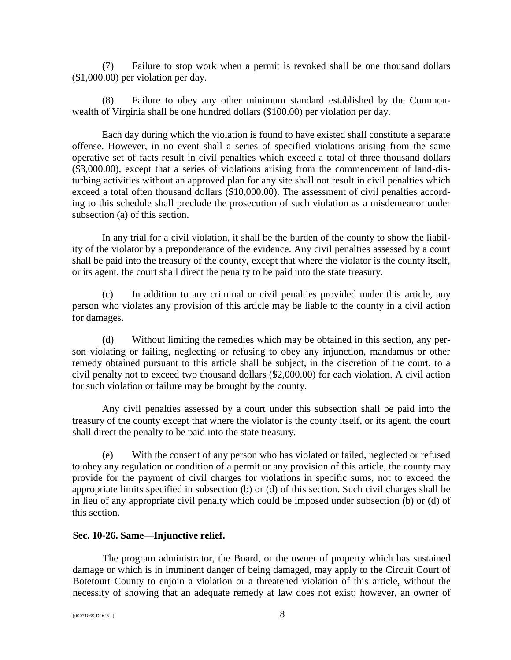(7) Failure to stop work when a permit is revoked shall be one thousand dollars (\$1,000.00) per violation per day.

(8) Failure to obey any other minimum standard established by the Commonwealth of Virginia shall be one hundred dollars (\$100.00) per violation per day.

Each day during which the violation is found to have existed shall constitute a separate offense. However, in no event shall a series of specified violations arising from the same operative set of facts result in civil penalties which exceed a total of three thousand dollars (\$3,000.00), except that a series of violations arising from the commencement of land-disturbing activities without an approved plan for any site shall not result in civil penalties which exceed a total often thousand dollars (\$10,000.00). The assessment of civil penalties according to this schedule shall preclude the prosecution of such violation as a misdemeanor under subsection (a) of this section.

In any trial for a civil violation, it shall be the burden of the county to show the liability of the violator by a preponderance of the evidence. Any civil penalties assessed by a court shall be paid into the treasury of the county, except that where the violator is the county itself, or its agent, the court shall direct the penalty to be paid into the state treasury.

(c) In addition to any criminal or civil penalties provided under this article, any person who violates any provision of this article may be liable to the county in a civil action for damages.

(d) Without limiting the remedies which may be obtained in this section, any person violating or failing, neglecting or refusing to obey any injunction, mandamus or other remedy obtained pursuant to this article shall be subject, in the discretion of the court, to a civil penalty not to exceed two thousand dollars (\$2,000.00) for each violation. A civil action for such violation or failure may be brought by the county.

Any civil penalties assessed by a court under this subsection shall be paid into the treasury of the county except that where the violator is the county itself, or its agent, the court shall direct the penalty to be paid into the state treasury.

(e) With the consent of any person who has violated or failed, neglected or refused to obey any regulation or condition of a permit or any provision of this article, the county may provide for the payment of civil charges for violations in specific sums, not to exceed the appropriate limits specified in subsection (b) or (d) of this section. Such civil charges shall be in lieu of any appropriate civil penalty which could be imposed under subsection (b) or (d) of this section.

## **Sec. 10-26. Same—Injunctive relief.**

The program administrator, the Board, or the owner of property which has sustained damage or which is in imminent danger of being damaged, may apply to the Circuit Court of Botetourt County to enjoin a violation or a threatened violation of this article, without the necessity of showing that an adequate remedy at law does not exist; however, an owner of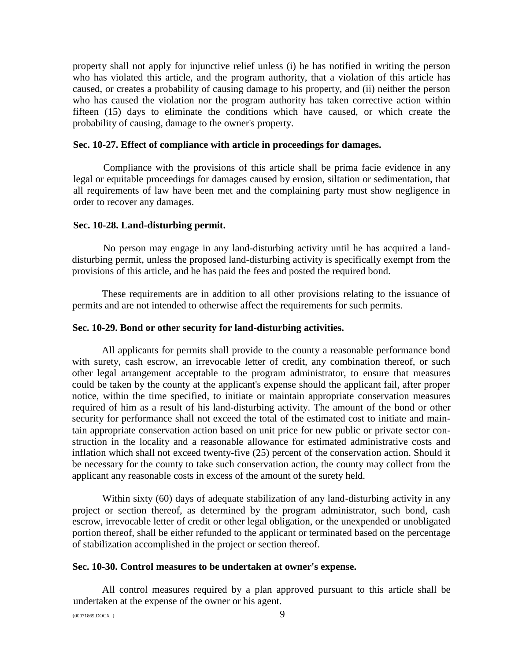property shall not apply for injunctive relief unless (i) he has notified in writing the person who has violated this article, and the program authority, that a violation of this article has caused, or creates a probability of causing damage to his property, and (ii) neither the person who has caused the violation nor the program authority has taken corrective action within fifteen (15) days to eliminate the conditions which have caused, or which create the probability of causing, damage to the owner's property.

## **Sec. 10-27. Effect of compliance with article in proceedings for damages.**

Compliance with the provisions of this article shall be prima facie evidence in any legal or equitable proceedings for damages caused by erosion, siltation or sedimentation, that all requirements of law have been met and the complaining party must show negligence in order to recover any damages.

#### **Sec. 10-28. Land-disturbing permit.**

No person may engage in any land-disturbing activity until he has acquired a landdisturbing permit, unless the proposed land-disturbing activity is specifically exempt from the provisions of this article, and he has paid the fees and posted the required bond.

These requirements are in addition to all other provisions relating to the issuance of permits and are not intended to otherwise affect the requirements for such permits.

#### **Sec. 10-29. Bond or other security for land-disturbing activities.**

All applicants for permits shall provide to the county a reasonable performance bond with surety, cash escrow, an irrevocable letter of credit, any combination thereof, or such other legal arrangement acceptable to the program administrator, to ensure that measures could be taken by the county at the applicant's expense should the applicant fail, after proper notice, within the time specified, to initiate or maintain appropriate conservation measures required of him as a result of his land-disturbing activity. The amount of the bond or other security for performance shall not exceed the total of the estimated cost to initiate and maintain appropriate conservation action based on unit price for new public or private sector construction in the locality and a reasonable allowance for estimated administrative costs and inflation which shall not exceed twenty-five (25) percent of the conservation action. Should it be necessary for the county to take such conservation action, the county may collect from the applicant any reasonable costs in excess of the amount of the surety held.

Within sixty (60) days of adequate stabilization of any land-disturbing activity in any project or section thereof, as determined by the program administrator, such bond, cash escrow, irrevocable letter of credit or other legal obligation, or the unexpended or unobligated portion thereof, shall be either refunded to the applicant or terminated based on the percentage of stabilization accomplished in the project or section thereof.

### **Sec. 10-30. Control measures to be undertaken at owner's expense.**

All control measures required by a plan approved pursuant to this article shall be undertaken at the expense of the owner or his agent.

 ${00071869. \text{DOC} \choose 9}$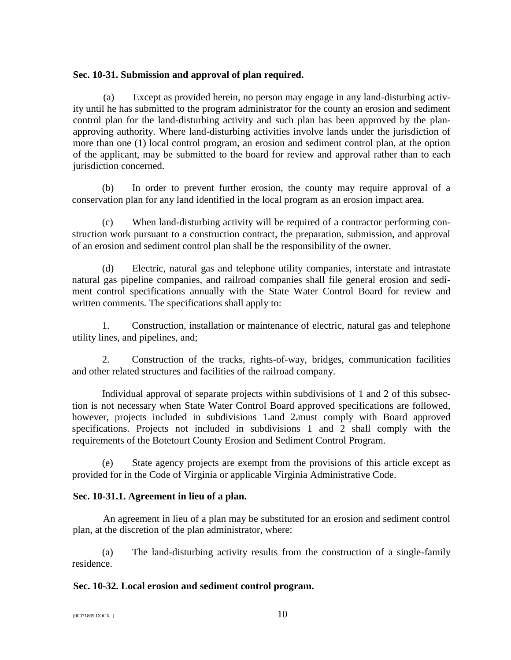## **Sec. 10-31. Submission and approval of plan required.**

(a) Except as provided herein, no person may engage in any land-disturbing activity until he has submitted to the program administrator for the county an erosion and sediment control plan for the land-disturbing activity and such plan has been approved by the planapproving authority. Where land-disturbing activities involve lands under the jurisdiction of more than one (1) local control program, an erosion and sediment control plan, at the option of the applicant, may be submitted to the board for review and approval rather than to each jurisdiction concerned.

(b) In order to prevent further erosion, the county may require approval of a conservation plan for any land identified in the local program as an erosion impact area.

(c) When land-disturbing activity will be required of a contractor performing construction work pursuant to a construction contract, the preparation, submission, and approval of an erosion and sediment control plan shall be the responsibility of the owner.

(d) Electric, natural gas and telephone utility companies, interstate and intrastate natural gas pipeline companies, and railroad companies shall file general erosion and sediment control specifications annually with the State Water Control Board for review and written comments. The specifications shall apply to:

1. Construction, installation or maintenance of electric, natural gas and telephone utility lines, and pipelines, and;

2. Construction of the tracks, rights-of-way, bridges, communication facilities and other related structures and facilities of the railroad company.

Individual approval of separate projects within subdivisions of 1 and 2 of this subsection is not necessary when State Water Control Board approved specifications are followed, however, projects included in subdivisions 1.and 2.must comply with Board approved specifications. Projects not included in subdivisions 1 and 2 shall comply with the requirements of the Botetourt County Erosion and Sediment Control Program.

(e) State agency projects are exempt from the provisions of this article except as provided for in the Code of Virginia or applicable Virginia Administrative Code.

# **Sec. 10-31.1. Agreement in lieu of a plan.**

An agreement in lieu of a plan may be substituted for an erosion and sediment control plan, at the discretion of the plan administrator, where:

(a) The land-disturbing activity results from the construction of a single-family residence.

# **Sec. 10-32. Local erosion and sediment control program.**

 ${10^{0071869. \text{DOCX}}}$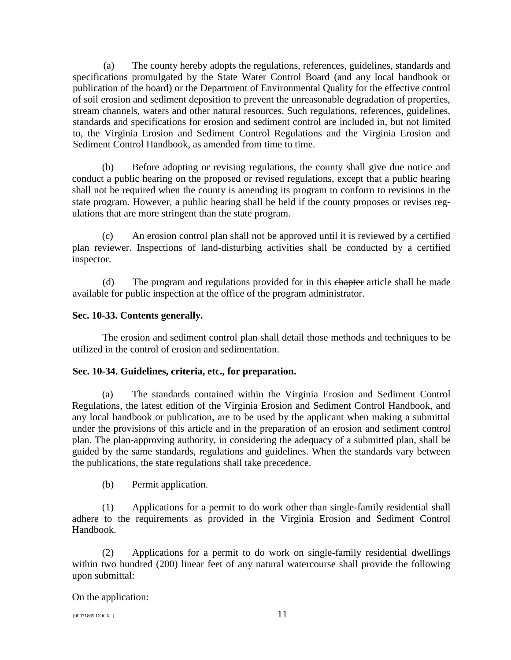(a) The county hereby adopts the regulations, references, guidelines, standards and specifications promulgated by the State Water Control Board (and any local handbook or publication of the board) or the Department of Environmental Quality for the effective control of soil erosion and sediment deposition to prevent the unreasonable degradation of properties, stream channels, waters and other natural resources. Such regulations, references, guidelines, standards and specifications for erosion and sediment control are included in, but not limited to, the Virginia Erosion and Sediment Control Regulations and the Virginia Erosion and Sediment Control Handbook, as amended from time to time.

(b) Before adopting or revising regulations, the county shall give due notice and conduct a public hearing on the proposed or revised regulations, except that a public hearing shall not be required when the county is amending its program to conform to revisions in the state program. However, a public hearing shall be held if the county proposes or revises regulations that are more stringent than the state program.

(c) An erosion control plan shall not be approved until it is reviewed by a certified plan reviewer. Inspections of land-disturbing activities shall be conducted by a certified inspector.

(d) The program and regulations provided for in this chapter article shall be made available for public inspection at the office of the program administrator.

# **Sec. 10-33. Contents generally.**

The erosion and sediment control plan shall detail those methods and techniques to be utilized in the control of erosion and sedimentation.

# **Sec. 10-34. Guidelines, criteria, etc., for preparation.**

(a) The standards contained within the Virginia Erosion and Sediment Control Regulations, the latest edition of the Virginia Erosion and Sediment Control Handbook, and any local handbook or publication, are to be used by the applicant when making a submittal under the provisions of this article and in the preparation of an erosion and sediment control plan. The plan-approving authority, in considering the adequacy of a submitted plan, shall be guided by the same standards, regulations and guidelines. When the standards vary between the publications, the state regulations shall take precedence.

(b) Permit application.

(1) Applications for a permit to do work other than single-family residential shall adhere to the requirements as provided in the Virginia Erosion and Sediment Control Handbook.

(2) Applications for a permit to do work on single-family residential dwellings within two hundred (200) linear feet of any natural watercourse shall provide the following upon submittal:

On the application: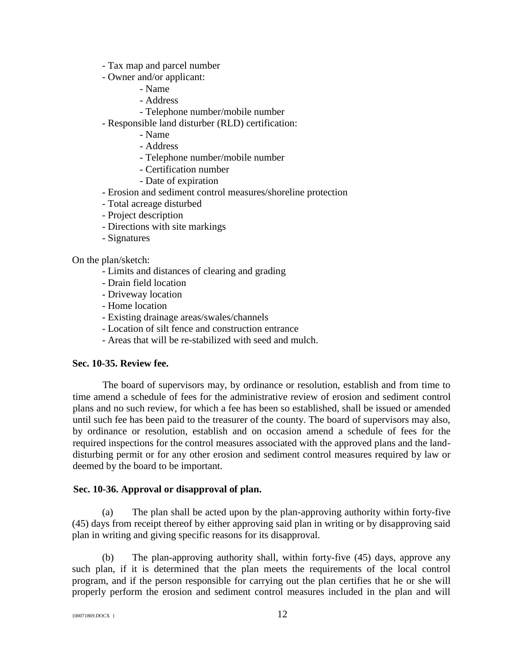- Tax map and parcel number
- Owner and/or applicant:
	- Name
	- Address
	- Telephone number/mobile number
- Responsible land disturber (RLD) certification:
	- Name
	- Address
	- Telephone number/mobile number
	- Certification number
	- Date of expiration
- Erosion and sediment control measures/shoreline protection
- Total acreage disturbed
- Project description
- Directions with site markings
- Signatures

On the plan/sketch:

- Limits and distances of clearing and grading
- Drain field location
- Driveway location
- Home location
- Existing drainage areas/swales/channels
- Location of silt fence and construction entrance
- Areas that will be re-stabilized with seed and mulch.

## **Sec. 10-35. Review fee.**

The board of supervisors may, by ordinance or resolution, establish and from time to time amend a schedule of fees for the administrative review of erosion and sediment control plans and no such review, for which a fee has been so established, shall be issued or amended until such fee has been paid to the treasurer of the county. The board of supervisors may also, by ordinance or resolution, establish and on occasion amend a schedule of fees for the required inspections for the control measures associated with the approved plans and the landdisturbing permit or for any other erosion and sediment control measures required by law or deemed by the board to be important.

## **Sec. 10-36. Approval or disapproval of plan.**

(a) The plan shall be acted upon by the plan-approving authority within forty-five (45) days from receipt thereof by either approving said plan in writing or by disapproving said plan in writing and giving specific reasons for its disapproval.

(b) The plan-approving authority shall, within forty-five (45) days, approve any such plan, if it is determined that the plan meets the requirements of the local control program, and if the person responsible for carrying out the plan certifies that he or she will properly perform the erosion and sediment control measures included in the plan and will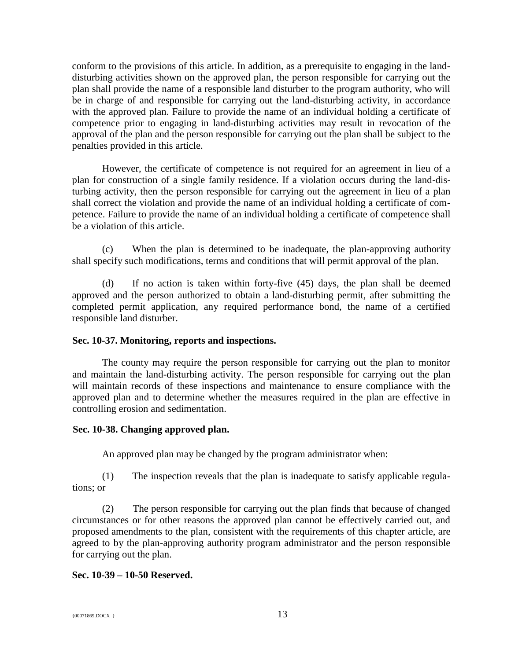conform to the provisions of this article. In addition, as a prerequisite to engaging in the landdisturbing activities shown on the approved plan, the person responsible for carrying out the plan shall provide the name of a responsible land disturber to the program authority, who will be in charge of and responsible for carrying out the land-disturbing activity, in accordance with the approved plan. Failure to provide the name of an individual holding a certificate of competence prior to engaging in land-disturbing activities may result in revocation of the approval of the plan and the person responsible for carrying out the plan shall be subject to the penalties provided in this article.

However, the certificate of competence is not required for an agreement in lieu of a plan for construction of a single family residence. If a violation occurs during the land-disturbing activity, then the person responsible for carrying out the agreement in lieu of a plan shall correct the violation and provide the name of an individual holding a certificate of competence. Failure to provide the name of an individual holding a certificate of competence shall be a violation of this article.

(c) When the plan is determined to be inadequate, the plan-approving authority shall specify such modifications, terms and conditions that will permit approval of the plan.

(d) If no action is taken within forty-five (45) days, the plan shall be deemed approved and the person authorized to obtain a land-disturbing permit, after submitting the completed permit application, any required performance bond, the name of a certified responsible land disturber.

## **Sec. 10-37. Monitoring, reports and inspections.**

The county may require the person responsible for carrying out the plan to monitor and maintain the land-disturbing activity. The person responsible for carrying out the plan will maintain records of these inspections and maintenance to ensure compliance with the approved plan and to determine whether the measures required in the plan are effective in controlling erosion and sedimentation.

#### **Sec. 10-38. Changing approved plan.**

An approved plan may be changed by the program administrator when:

(1) The inspection reveals that the plan is inadequate to satisfy applicable regulations; or

(2) The person responsible for carrying out the plan finds that because of changed circumstances or for other reasons the approved plan cannot be effectively carried out, and proposed amendments to the plan, consistent with the requirements of this chapter article, are agreed to by the plan-approving authority program administrator and the person responsible for carrying out the plan.

## **Sec. 10-39 – 10-50 Reserved.**

 ${13}$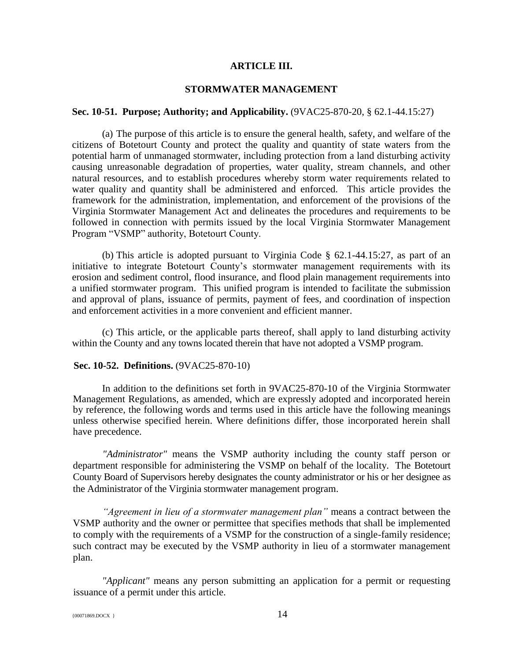## **ARTICLE III.**

## **STORMWATER MANAGEMENT**

#### **Sec. 10-51. Purpose; Authority; and Applicability.** (9VAC25-870-20, § 62.1-44.15:27)

(a) The purpose of this article is to ensure the general health, safety, and welfare of the citizens of Botetourt County and protect the quality and quantity of state waters from the potential harm of unmanaged stormwater, including protection from a land disturbing activity causing unreasonable degradation of properties, water quality, stream channels, and other natural resources, and to establish procedures whereby storm water requirements related to water quality and quantity shall be administered and enforced. This article provides the framework for the administration, implementation, and enforcement of the provisions of the Virginia Stormwater Management Act and delineates the procedures and requirements to be followed in connection with permits issued by the local Virginia Stormwater Management Program "VSMP" authority, Botetourt County.

(b) This article is adopted pursuant to Virginia Code § 62.1-44.15:27, as part of an initiative to integrate Botetourt County's stormwater management requirements with its erosion and sediment control, flood insurance, and flood plain management requirements into a unified stormwater program. This unified program is intended to facilitate the submission and approval of plans, issuance of permits, payment of fees, and coordination of inspection and enforcement activities in a more convenient and efficient manner.

(c) This article, or the applicable parts thereof, shall apply to land disturbing activity within the County and any towns located therein that have not adopted a VSMP program.

#### **Sec. 10-52. Definitions.** (9VAC25-870-10)

In addition to the definitions set forth in 9VAC25-870-10 of the Virginia Stormwater Management Regulations, as amended, which are expressly adopted and incorporated herein by reference, the following words and terms used in this article have the following meanings unless otherwise specified herein. Where definitions differ, those incorporated herein shall have precedence.

*"Administrator"* means the VSMP authority including the county staff person or department responsible for administering the VSMP on behalf of the locality. The Botetourt County Board of Supervisors hereby designates the county administrator or his or her designee as the Administrator of the Virginia stormwater management program.

*"Agreement in lieu of a stormwater management plan"* means a contract between the VSMP authority and the owner or permittee that specifies methods that shall be implemented to comply with the requirements of a VSMP for the construction of a single-family residence; such contract may be executed by the VSMP authority in lieu of a stormwater management plan.

*"Applicant"* means any person submitting an application for a permit or requesting issuance of a permit under this article.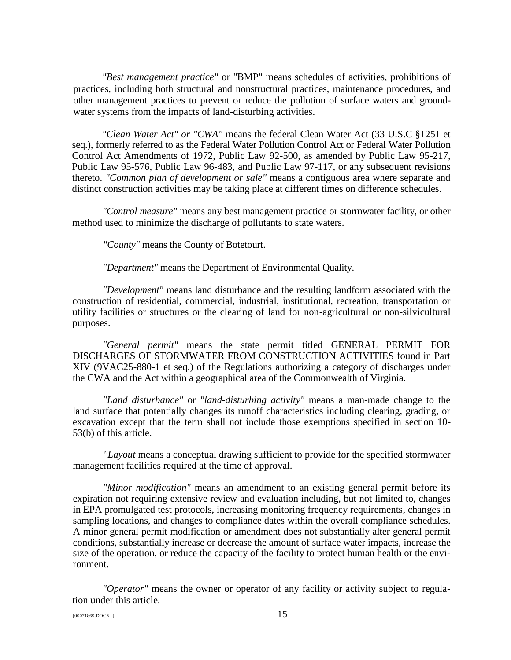*"Best management practice"* or "BMP" means schedules of activities, prohibitions of practices, including both structural and nonstructural practices, maintenance procedures, and other management practices to prevent or reduce the pollution of surface waters and groundwater systems from the impacts of land-disturbing activities.

*"Clean Water Act" or "CWA"* means the federal Clean Water Act (33 U.S.C §1251 et seq.), formerly referred to as the Federal Water Pollution Control Act or Federal Water Pollution Control Act Amendments of 1972, Public Law 92-500, as amended by Public Law 95-217, Public Law 95-576, Public Law 96-483, and Public Law 97-117, or any subsequent revisions thereto. *"Common plan of development or sale"* means a contiguous area where separate and distinct construction activities may be taking place at different times on difference schedules.

*"Control measure"* means any best management practice or stormwater facility, or other method used to minimize the discharge of pollutants to state waters.

*"County"* means the County of Botetourt.

*"Department"* means the Department of Environmental Quality.

*"Development"* means land disturbance and the resulting landform associated with the construction of residential, commercial, industrial, institutional, recreation, transportation or utility facilities or structures or the clearing of land for non-agricultural or non-silvicultural purposes.

*"General permit"* means the state permit titled GENERAL PERMIT FOR DISCHARGES OF STORMWATER FROM CONSTRUCTION ACTIVITIES found in Part XIV (9VAC25-880-1 et seq.) of the Regulations authorizing a category of discharges under the CWA and the Act within a geographical area of the Commonwealth of Virginia.

*"Land disturbance"* or *"land-disturbing activity"* means a man-made change to the land surface that potentially changes its runoff characteristics including clearing, grading, or excavation except that the term shall not include those exemptions specified in section 10- 53(b) of this article.

*"Layout* means a conceptual drawing sufficient to provide for the specified stormwater management facilities required at the time of approval.

*"Minor modification"* means an amendment to an existing general permit before its expiration not requiring extensive review and evaluation including, but not limited to, changes in EPA promulgated test protocols, increasing monitoring frequency requirements, changes in sampling locations, and changes to compliance dates within the overall compliance schedules. A minor general permit modification or amendment does not substantially alter general permit conditions, substantially increase or decrease the amount of surface water impacts, increase the size of the operation, or reduce the capacity of the facility to protect human health or the environment.

*"Operator"* means the owner or operator of any facility or activity subject to regulation under this article.

 ${15}$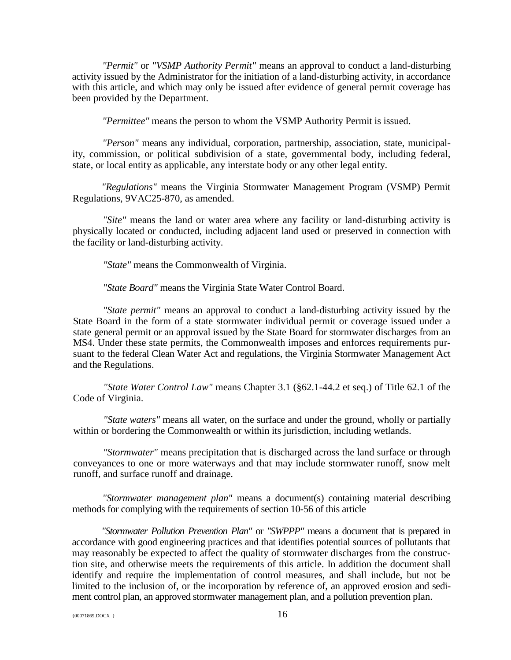*"Permit"* or *"VSMP Authority Permit"* means an approval to conduct a land-disturbing activity issued by the Administrator for the initiation of a land-disturbing activity, in accordance with this article, and which may only be issued after evidence of general permit coverage has been provided by the Department.

*"Permittee"* means the person to whom the VSMP Authority Permit is issued.

*"Person"* means any individual, corporation, partnership, association, state, municipality, commission, or political subdivision of a state, governmental body, including federal, state, or local entity as applicable, any interstate body or any other legal entity.

*"Regulations"* means the Virginia Stormwater Management Program (VSMP) Permit Regulations, 9VAC25-870, as amended.

*"Site"* means the land or water area where any facility or land-disturbing activity is physically located or conducted, including adjacent land used or preserved in connection with the facility or land-disturbing activity.

*"State"* means the Commonwealth of Virginia.

*"State Board"* means the Virginia State Water Control Board.

*"State permit"* means an approval to conduct a land-disturbing activity issued by the State Board in the form of a state stormwater individual permit or coverage issued under a state general permit or an approval issued by the State Board for stormwater discharges from an MS4. Under these state permits, the Commonwealth imposes and enforces requirements pursuant to the federal Clean Water Act and regulations, the Virginia Stormwater Management Act and the Regulations.

*"State Water Control Law"* means Chapter 3.1 (§62.1-44.2 et seq.) of Title 62.1 of the Code of Virginia.

*"State waters"* means all water, on the surface and under the ground, wholly or partially within or bordering the Commonwealth or within its jurisdiction, including wetlands.

*"Stormwater"* means precipitation that is discharged across the land surface or through conveyances to one or more waterways and that may include stormwater runoff, snow melt runoff, and surface runoff and drainage.

*"Stormwater management plan"* means a document(s) containing material describing methods for complying with the requirements of section 10-56 of this article

*"Stormwater Pollution Prevention Plan"* or *"SWPPP"* means a document that is prepared in accordance with good engineering practices and that identifies potential sources of pollutants that may reasonably be expected to affect the quality of stormwater discharges from the construction site, and otherwise meets the requirements of this article. In addition the document shall identify and require the implementation of control measures, and shall include, but not be limited to the inclusion of, or the incorporation by reference of, an approved erosion and sediment control plan, an approved stormwater management plan, and a pollution prevention plan.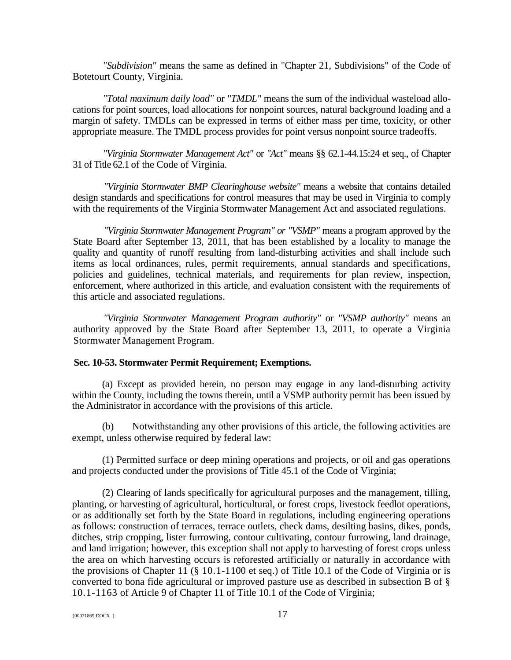*"Subdivision"* means the same as defined in "Chapter 21, Subdivisions" of the Code of Botetourt County, Virginia.

*"Total maximum daily load"* or *"TMDL"* means the sum of the individual wasteload allocations for point sources, load allocations for nonpoint sources, natural background loading and a margin of safety. TMDLs can be expressed in terms of either mass per time, toxicity, or other appropriate measure. The TMDL process provides for point versus nonpoint source tradeoffs.

*"Virginia Stormwater Management Act"* or *"Act"* means §§ 62.1-44.15:24 et seq., of Chapter 31 of Title 62.1 of the Code of Virginia.

*"Virginia Stormwater BMP Clearinghouse website"* means a website that contains detailed design standards and specifications for control measures that may be used in Virginia to comply with the requirements of the Virginia Stormwater Management Act and associated regulations.

*"Virginia Stormwater Management Program" or "VSMP"* means a program approved by the State Board after September 13, 2011, that has been established by a locality to manage the quality and quantity of runoff resulting from land-disturbing activities and shall include such items as local ordinances, rules, permit requirements, annual standards and specifications, policies and guidelines, technical materials, and requirements for plan review, inspection, enforcement, where authorized in this article, and evaluation consistent with the requirements of this article and associated regulations.

*"Virginia Stormwater Management Program authority"* or *"VSMP authority"* means an authority approved by the State Board after September 13, 2011, to operate a Virginia Stormwater Management Program.

## **Sec. 10-53. Stormwater Permit Requirement; Exemptions.**

(a) Except as provided herein, no person may engage in any land-disturbing activity within the County, including the towns therein, until a VSMP authority permit has been issued by the Administrator in accordance with the provisions of this article.

(b) Notwithstanding any other provisions of this article, the following activities are exempt, unless otherwise required by federal law:

(1) Permitted surface or deep mining operations and projects, or oil and gas operations and projects conducted under the provisions of Title 45.1 of the Code of Virginia;

(2) Clearing of lands specifically for agricultural purposes and the management, tilling, planting, or harvesting of agricultural, horticultural, or forest crops, livestock feedlot operations, or as additionally set forth by the State Board in regulations, including engineering operations as follows: construction of terraces, terrace outlets, check dams, desilting basins, dikes, ponds, ditches, strip cropping, lister furrowing, contour cultivating, contour furrowing, land drainage, and land irrigation; however, this exception shall not apply to harvesting of forest crops unless the area on which harvesting occurs is reforested artificially or naturally in accordance with the provisions of Chapter 11 (§ 10.1-1100 et seq.) of Title 10.1 of the Code of Virginia or is converted to bona fide agricultural or improved pasture use as described in subsection B of § 10.1-1163 of Article 9 of Chapter 11 of Title 10.1 of the Code of Virginia;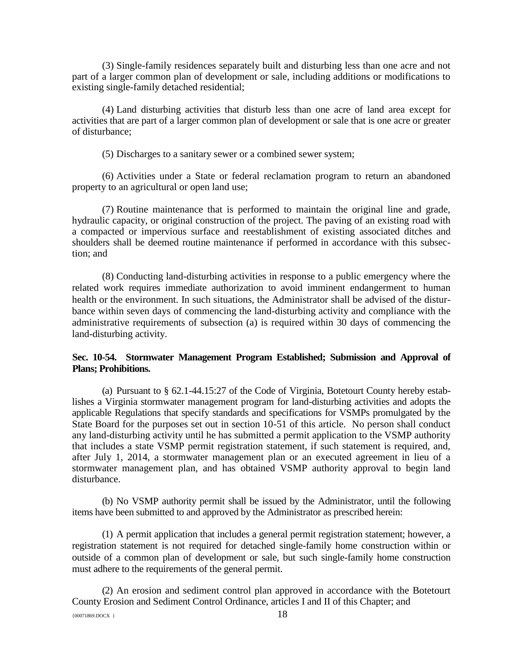(3) Single-family residences separately built and disturbing less than one acre and not part of a larger common plan of development or sale, including additions or modifications to existing single-family detached residential;

(4) Land disturbing activities that disturb less than one acre of land area except for activities that are part of a larger common plan of development or sale that is one acre or greater of disturbance;

(5) Discharges to a sanitary sewer or a combined sewer system;

(6) Activities under a State or federal reclamation program to return an abandoned property to an agricultural or open land use;

(7) Routine maintenance that is performed to maintain the original line and grade, hydraulic capacity, or original construction of the project. The paving of an existing road with a compacted or impervious surface and reestablishment of existing associated ditches and shoulders shall be deemed routine maintenance if performed in accordance with this subsection; and

(8) Conducting land-disturbing activities in response to a public emergency where the related work requires immediate authorization to avoid imminent endangerment to human health or the environment. In such situations, the Administrator shall be advised of the disturbance within seven days of commencing the land-disturbing activity and compliance with the administrative requirements of subsection (a) is required within 30 days of commencing the land-disturbing activity.

# **Sec. 10-54. Stormwater Management Program Established; Submission and Approval of Plans; Prohibitions.**

(a) Pursuant to § 62.1-44.15:27 of the Code of Virginia, Botetourt County hereby establishes a Virginia stormwater management program for land-disturbing activities and adopts the applicable Regulations that specify standards and specifications for VSMPs promulgated by the State Board for the purposes set out in section 10-51 of this article. No person shall conduct any land-disturbing activity until he has submitted a permit application to the VSMP authority that includes a state VSMP permit registration statement, if such statement is required, and, after July 1, 2014, a stormwater management plan or an executed agreement in lieu of a stormwater management plan, and has obtained VSMP authority approval to begin land disturbance.

(b) No VSMP authority permit shall be issued by the Administrator, until the following items have been submitted to and approved by the Administrator as prescribed herein:

(1) A permit application that includes a general permit registration statement; however, a registration statement is not required for detached single-family home construction within or outside of a common plan of development or sale, but such single-family home construction must adhere to the requirements of the general permit.

(2) An erosion and sediment control plan approved in accordance with the Botetourt County Erosion and Sediment Control Ordinance, articles I and II of this Chapter; and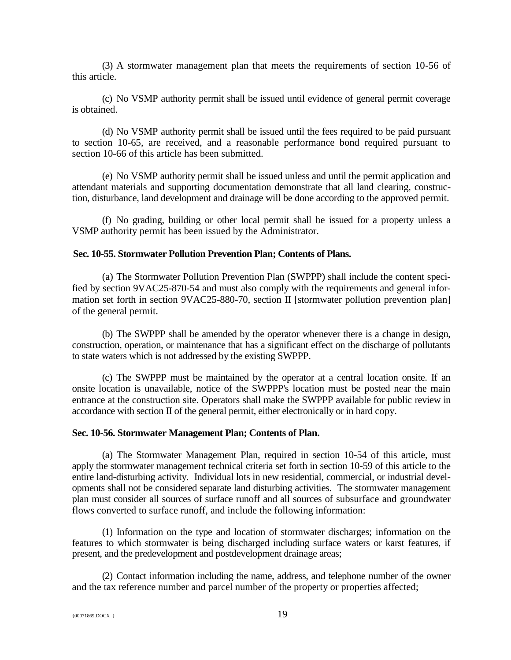(3) A stormwater management plan that meets the requirements of section 10-56 of this article.

(c) No VSMP authority permit shall be issued until evidence of general permit coverage is obtained.

(d) No VSMP authority permit shall be issued until the fees required to be paid pursuant to section 10-65, are received, and a reasonable performance bond required pursuant to section 10-66 of this article has been submitted.

(e) No VSMP authority permit shall be issued unless and until the permit application and attendant materials and supporting documentation demonstrate that all land clearing, construction, disturbance, land development and drainage will be done according to the approved permit.

(f) No grading, building or other local permit shall be issued for a property unless a VSMP authority permit has been issued by the Administrator.

## **Sec. 10-55. Stormwater Pollution Prevention Plan; Contents of Plans.**

(a) The Stormwater Pollution Prevention Plan (SWPPP) shall include the content specified by section 9VAC25-870-54 and must also comply with the requirements and general information set forth in section 9VAC25-880-70, section II [stormwater pollution prevention plan] of the general permit.

(b) The SWPPP shall be amended by the operator whenever there is a change in design, construction, operation, or maintenance that has a significant effect on the discharge of pollutants to state waters which is not addressed by the existing SWPPP.

(c) The SWPPP must be maintained by the operator at a central location onsite. If an onsite location is unavailable, notice of the SWPPP's location must be posted near the main entrance at the construction site. Operators shall make the SWPPP available for public review in accordance with section II of the general permit, either electronically or in hard copy.

### **Sec. 10-56. Stormwater Management Plan; Contents of Plan.**

(a) The Stormwater Management Plan, required in section 10-54 of this article, must apply the stormwater management technical criteria set forth in section 10-59 of this article to the entire land-disturbing activity. Individual lots in new residential, commercial, or industrial developments shall not be considered separate land disturbing activities. The stormwater management plan must consider all sources of surface runoff and all sources of subsurface and groundwater flows converted to surface runoff, and include the following information:

(1) Information on the type and location of stormwater discharges; information on the features to which stormwater is being discharged including surface waters or karst features, if present, and the predevelopment and postdevelopment drainage areas;

(2) Contact information including the name, address, and telephone number of the owner and the tax reference number and parcel number of the property or properties affected;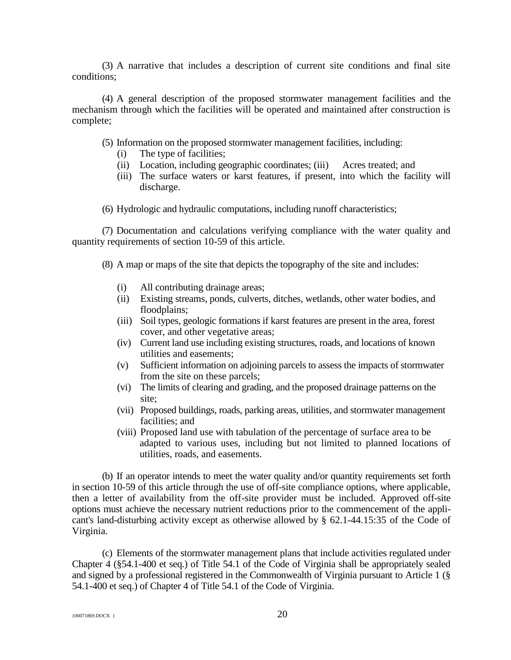(3) A narrative that includes a description of current site conditions and final site conditions;

(4) A general description of the proposed stormwater management facilities and the mechanism through which the facilities will be operated and maintained after construction is complete;

(5) Information on the proposed stormwater management facilities, including:

- (i) The type of facilities;
- (ii) Location, including geographic coordinates; (iii) Acres treated; and
- (iii) The surface waters or karst features, if present, into which the facility will discharge.

(6) Hydrologic and hydraulic computations, including runoff characteristics;

(7) Documentation and calculations verifying compliance with the water quality and quantity requirements of section 10-59 of this article.

(8) A map or maps of the site that depicts the topography of the site and includes:

- (i) All contributing drainage areas;
- (ii) Existing streams, ponds, culverts, ditches, wetlands, other water bodies, and floodplains;
- (iii) Soil types, geologic formations if karst features are present in the area, forest cover, and other vegetative areas;
- (iv) Current land use including existing structures, roads, and locations of known utilities and easements;
- (v) Sufficient information on adjoining parcels to assess the impacts of stormwater from the site on these parcels;
- (vi) The limits of clearing and grading, and the proposed drainage patterns on the site;
- (vii) Proposed buildings, roads, parking areas, utilities, and stormwater management facilities; and
- (viii) Proposed land use with tabulation of the percentage of surface area to be adapted to various uses, including but not limited to planned locations of utilities, roads, and easements.

(b) If an operator intends to meet the water quality and/or quantity requirements set forth in section 10-59 of this article through the use of off-site compliance options, where applicable, then a letter of availability from the off-site provider must be included. Approved off-site options must achieve the necessary nutrient reductions prior to the commencement of the applicant's land-disturbing activity except as otherwise allowed by § 62.1-44.15:35 of the Code of Virginia.

(c) Elements of the stormwater management plans that include activities regulated under Chapter 4 (§54.1-400 et seq.) of Title 54.1 of the Code of Virginia shall be appropriately sealed and signed by a professional registered in the Commonwealth of Virginia pursuant to Article 1 (§ 54.1-400 et seq.) of Chapter 4 of Title 54.1 of the Code of Virginia.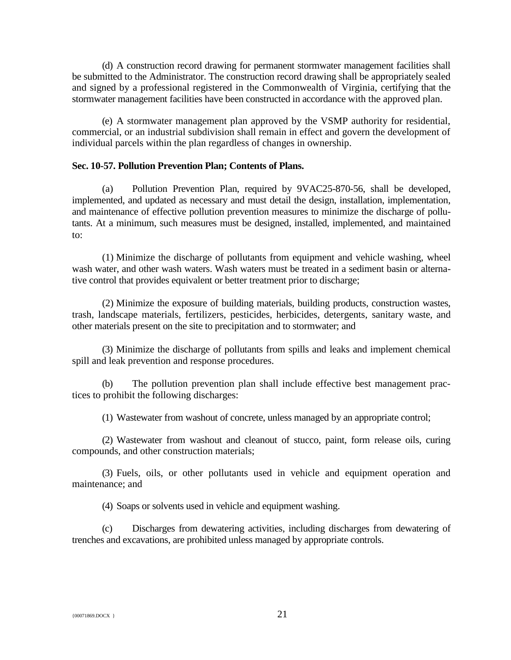(d) A construction record drawing for permanent stormwater management facilities shall be submitted to the Administrator. The construction record drawing shall be appropriately sealed and signed by a professional registered in the Commonwealth of Virginia, certifying that the stormwater management facilities have been constructed in accordance with the approved plan.

(e) A stormwater management plan approved by the VSMP authority for residential, commercial, or an industrial subdivision shall remain in effect and govern the development of individual parcels within the plan regardless of changes in ownership.

### **Sec. 10-57. Pollution Prevention Plan; Contents of Plans.**

(a) Pollution Prevention Plan, required by 9VAC25-870-56, shall be developed, implemented, and updated as necessary and must detail the design, installation, implementation, and maintenance of effective pollution prevention measures to minimize the discharge of pollutants. At a minimum, such measures must be designed, installed, implemented, and maintained to:

(1) Minimize the discharge of pollutants from equipment and vehicle washing, wheel wash water, and other wash waters. Wash waters must be treated in a sediment basin or alternative control that provides equivalent or better treatment prior to discharge;

(2) Minimize the exposure of building materials, building products, construction wastes, trash, landscape materials, fertilizers, pesticides, herbicides, detergents, sanitary waste, and other materials present on the site to precipitation and to stormwater; and

(3) Minimize the discharge of pollutants from spills and leaks and implement chemical spill and leak prevention and response procedures.

(b) The pollution prevention plan shall include effective best management practices to prohibit the following discharges:

(1) Wastewater from washout of concrete, unless managed by an appropriate control;

(2) Wastewater from washout and cleanout of stucco, paint, form release oils, curing compounds, and other construction materials;

(3) Fuels, oils, or other pollutants used in vehicle and equipment operation and maintenance; and

(4) Soaps or solvents used in vehicle and equipment washing.

(c) Discharges from dewatering activities, including discharges from dewatering of trenches and excavations, are prohibited unless managed by appropriate controls.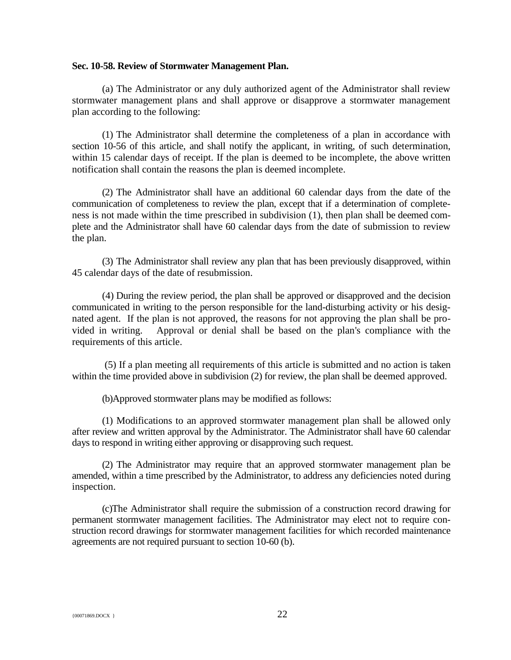## **Sec. 10-58. Review of Stormwater Management Plan.**

(a) The Administrator or any duly authorized agent of the Administrator shall review stormwater management plans and shall approve or disapprove a stormwater management plan according to the following:

(1) The Administrator shall determine the completeness of a plan in accordance with section 10-56 of this article, and shall notify the applicant, in writing, of such determination, within 15 calendar days of receipt. If the plan is deemed to be incomplete, the above written notification shall contain the reasons the plan is deemed incomplete.

(2) The Administrator shall have an additional 60 calendar days from the date of the communication of completeness to review the plan, except that if a determination of completeness is not made within the time prescribed in subdivision (1), then plan shall be deemed complete and the Administrator shall have 60 calendar days from the date of submission to review the plan.

(3) The Administrator shall review any plan that has been previously disapproved, within 45 calendar days of the date of resubmission.

(4) During the review period, the plan shall be approved or disapproved and the decision communicated in writing to the person responsible for the land-disturbing activity or his designated agent. If the plan is not approved, the reasons for not approving the plan shall be provided in writing. Approval or denial shall be based on the plan's compliance with the requirements of this article.

(5) If a plan meeting all requirements of this article is submitted and no action is taken within the time provided above in subdivision (2) for review, the plan shall be deemed approved.

(b)Approved stormwater plans may be modified as follows:

(1) Modifications to an approved stormwater management plan shall be allowed only after review and written approval by the Administrator. The Administrator shall have 60 calendar days to respond in writing either approving or disapproving such request.

(2) The Administrator may require that an approved stormwater management plan be amended, within a time prescribed by the Administrator, to address any deficiencies noted during inspection.

(c)The Administrator shall require the submission of a construction record drawing for permanent stormwater management facilities. The Administrator may elect not to require construction record drawings for stormwater management facilities for which recorded maintenance agreements are not required pursuant to section 10-60 (b).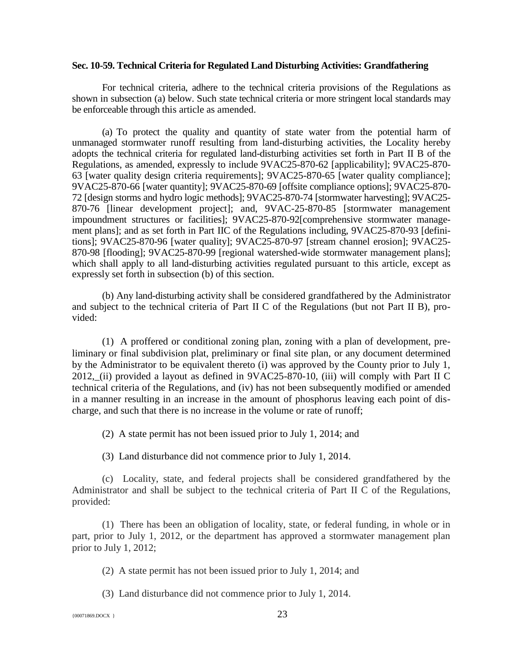### **Sec. 10-59. Technical Criteria for Regulated Land Disturbing Activities: Grandfathering**

For technical criteria, adhere to the technical criteria provisions of the Regulations as shown in subsection (a) below. Such state technical criteria or more stringent local standards may be enforceable through this article as amended.

(a) To protect the quality and quantity of state water from the potential harm of unmanaged stormwater runoff resulting from land-disturbing activities, the Locality hereby adopts the technical criteria for regulated land-disturbing activities set forth in Part II B of the Regulations, as amended, expressly to include 9VAC25-870-62 [applicability]; 9VAC25-870- 63 [water quality design criteria requirements]; 9VAC25-870-65 [water quality compliance]; 9VAC25-870-66 [water quantity]; 9VAC25-870-69 [offsite compliance options]; 9VAC25-870- 72 [design storms and hydro logic methods]; 9VAC25-870-74 [stormwater harvesting]; 9VAC25- 870-76 [linear development project]; and, 9VAC-25-870-85 [stormwater management impoundment structures or facilities]; 9VAC25-870-92[comprehensive stormwater management plans]; and as set forth in Part IIC of the Regulations including, 9VAC25-870-93 [definitions]; 9VAC25-870-96 [water quality]; 9VAC25-870-97 [stream channel erosion]; 9VAC25- 870-98 [flooding]; 9VAC25-870-99 [regional watershed-wide stormwater management plans]; which shall apply to all land-disturbing activities regulated pursuant to this article, except as expressly set forth in subsection (b) of this section.

(b) Any land-disturbing activity shall be considered grandfathered by the Administrator and subject to the technical criteria of Part II C of the Regulations (but not Part II B), provided:

(1) A proffered or conditional zoning plan, zoning with a plan of development, preliminary or final subdivision plat, preliminary or final site plan, or any document determined by the Administrator to be equivalent thereto (i) was approved by the County prior to July 1, 2012, (ii) provided a layout as defined in 9VAC25-870-10, (iii) will comply with Part II C technical criteria of the Regulations, and (iv) has not been subsequently modified or amended in a manner resulting in an increase in the amount of phosphorus leaving each point of discharge, and such that there is no increase in the volume or rate of runoff;

(2) A state permit has not been issued prior to July 1, 2014; and

(3) Land disturbance did not commence prior to July 1, 2014.

(c) Locality, state, and federal projects shall be considered grandfathered by the Administrator and shall be subject to the technical criteria of Part II C of the Regulations, provided:

(1) There has been an obligation of locality, state, or federal funding, in whole or in part, prior to July 1, 2012, or the department has approved a stormwater management plan prior to July 1, 2012;

(2) A state permit has not been issued prior to July 1, 2014; and

(3) Land disturbance did not commence prior to July 1, 2014.

{00071869.DOCX } 23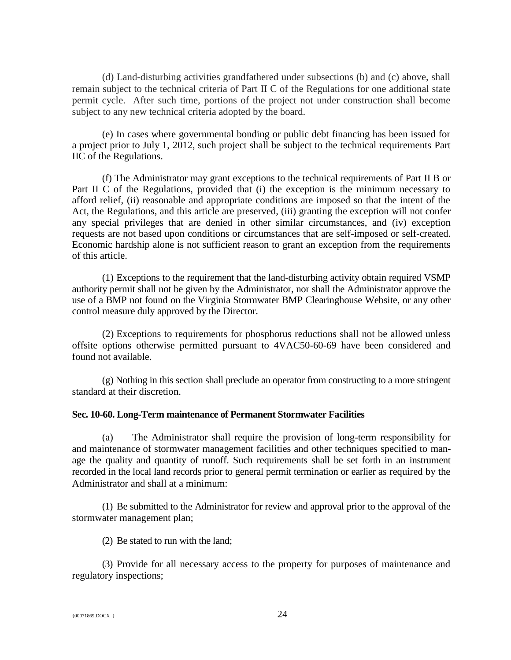(d) Land-disturbing activities grandfathered under subsections (b) and (c) above, shall remain subject to the technical criteria of Part II C of the Regulations for one additional state permit cycle. After such time, portions of the project not under construction shall become subject to any new technical criteria adopted by the board.

(e) In cases where governmental bonding or public debt financing has been issued for a project prior to July 1, 2012, such project shall be subject to the technical requirements Part IIC of the Regulations.

(f) The Administrator may grant exceptions to the technical requirements of Part II B or Part II C of the Regulations, provided that (i) the exception is the minimum necessary to afford relief, (ii) reasonable and appropriate conditions are imposed so that the intent of the Act, the Regulations, and this article are preserved, (iii) granting the exception will not confer any special privileges that are denied in other similar circumstances, and (iv) exception requests are not based upon conditions or circumstances that are self-imposed or self-created. Economic hardship alone is not sufficient reason to grant an exception from the requirements of this article.

(1) Exceptions to the requirement that the land-disturbing activity obtain required VSMP authority permit shall not be given by the Administrator, nor shall the Administrator approve the use of a BMP not found on the Virginia Stormwater BMP Clearinghouse Website, or any other control measure duly approved by the Director.

(2) Exceptions to requirements for phosphorus reductions shall not be allowed unless offsite options otherwise permitted pursuant to 4VAC50-60-69 have been considered and found not available.

(g) Nothing in this section shall preclude an operator from constructing to a more stringent standard at their discretion.

### **Sec. 10-60. Long-Term maintenance of Permanent Stormwater Facilities**

(a) The Administrator shall require the provision of long-term responsibility for and maintenance of stormwater management facilities and other techniques specified to manage the quality and quantity of runoff. Such requirements shall be set forth in an instrument recorded in the local land records prior to general permit termination or earlier as required by the Administrator and shall at a minimum:

(1) Be submitted to the Administrator for review and approval prior to the approval of the stormwater management plan;

(2) Be stated to run with the land;

(3) Provide for all necessary access to the property for purposes of maintenance and regulatory inspections;

 ${^{(00071869. \text{DOC} \choose 1}}$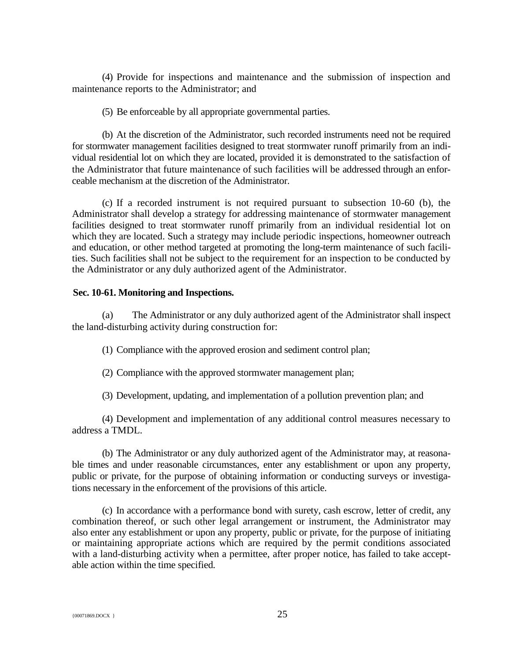(4) Provide for inspections and maintenance and the submission of inspection and maintenance reports to the Administrator; and

(5) Be enforceable by all appropriate governmental parties.

(b) At the discretion of the Administrator, such recorded instruments need not be required for stormwater management facilities designed to treat stormwater runoff primarily from an individual residential lot on which they are located, provided it is demonstrated to the satisfaction of the Administrator that future maintenance of such facilities will be addressed through an enforceable mechanism at the discretion of the Administrator.

(c) If a recorded instrument is not required pursuant to subsection 10-60 (b), the Administrator shall develop a strategy for addressing maintenance of stormwater management facilities designed to treat stormwater runoff primarily from an individual residential lot on which they are located. Such a strategy may include periodic inspections, homeowner outreach and education, or other method targeted at promoting the long-term maintenance of such facilities. Such facilities shall not be subject to the requirement for an inspection to be conducted by the Administrator or any duly authorized agent of the Administrator.

## **Sec. 10-61. Monitoring and Inspections.**

(a) The Administrator or any duly authorized agent of the Administrator shall inspect the land-disturbing activity during construction for:

(1) Compliance with the approved erosion and sediment control plan;

(2) Compliance with the approved stormwater management plan;

(3) Development, updating, and implementation of a pollution prevention plan; and

(4) Development and implementation of any additional control measures necessary to address a TMDL.

(b) The Administrator or any duly authorized agent of the Administrator may, at reasonable times and under reasonable circumstances, enter any establishment or upon any property, public or private, for the purpose of obtaining information or conducting surveys or investigations necessary in the enforcement of the provisions of this article.

(c) In accordance with a performance bond with surety, cash escrow, letter of credit, any combination thereof, or such other legal arrangement or instrument, the Administrator may also enter any establishment or upon any property, public or private, for the purpose of initiating or maintaining appropriate actions which are required by the permit conditions associated with a land-disturbing activity when a permittee, after proper notice, has failed to take acceptable action within the time specified.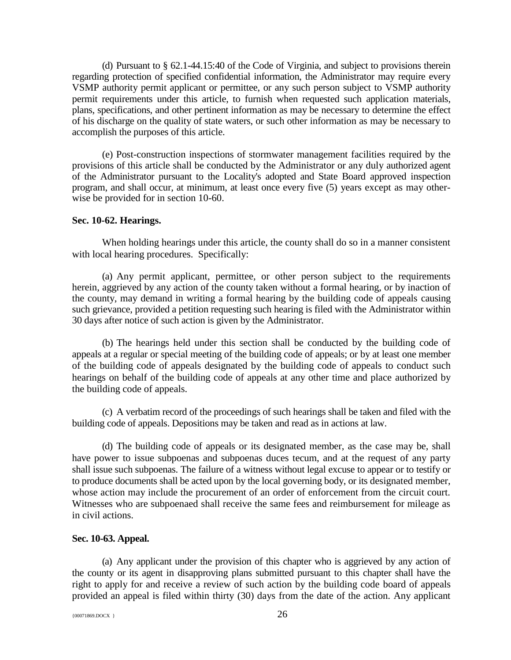(d) Pursuant to § 62.1-44.15:40 of the Code of Virginia, and subject to provisions therein regarding protection of specified confidential information, the Administrator may require every VSMP authority permit applicant or permittee, or any such person subject to VSMP authority permit requirements under this article, to furnish when requested such application materials, plans, specifications, and other pertinent information as may be necessary to determine the effect of his discharge on the quality of state waters, or such other information as may be necessary to accomplish the purposes of this article.

(e) Post-construction inspections of stormwater management facilities required by the provisions of this article shall be conducted by the Administrator or any duly authorized agent of the Administrator pursuant to the Locality's adopted and State Board approved inspection program, and shall occur, at minimum, at least once every five (5) years except as may otherwise be provided for in section 10-60.

## **Sec. 10-62. Hearings.**

When holding hearings under this article, the county shall do so in a manner consistent with local hearing procedures. Specifically:

(a) Any permit applicant, permittee, or other person subject to the requirements herein, aggrieved by any action of the county taken without a formal hearing, or by inaction of the county, may demand in writing a formal hearing by the building code of appeals causing such grievance, provided a petition requesting such hearing is filed with the Administrator within 30 days after notice of such action is given by the Administrator.

(b) The hearings held under this section shall be conducted by the building code of appeals at a regular or special meeting of the building code of appeals; or by at least one member of the building code of appeals designated by the building code of appeals to conduct such hearings on behalf of the building code of appeals at any other time and place authorized by the building code of appeals.

(c) A verbatim record of the proceedings of such hearings shall be taken and filed with the building code of appeals. Depositions may be taken and read as in actions at law.

(d) The building code of appeals or its designated member, as the case may be, shall have power to issue subpoenas and subpoenas duces tecum, and at the request of any party shall issue such subpoenas. The failure of a witness without legal excuse to appear or to testify or to produce documents shall be acted upon by the local governing body, or its designated member, whose action may include the procurement of an order of enforcement from the circuit court. Witnesses who are subpoenaed shall receive the same fees and reimbursement for mileage as in civil actions.

#### **Sec. 10-63. Appeal.**

(a) Any applicant under the provision of this chapter who is aggrieved by any action of the county or its agent in disapproving plans submitted pursuant to this chapter shall have the right to apply for and receive a review of such action by the building code board of appeals provided an appeal is filed within thirty (30) days from the date of the action. Any applicant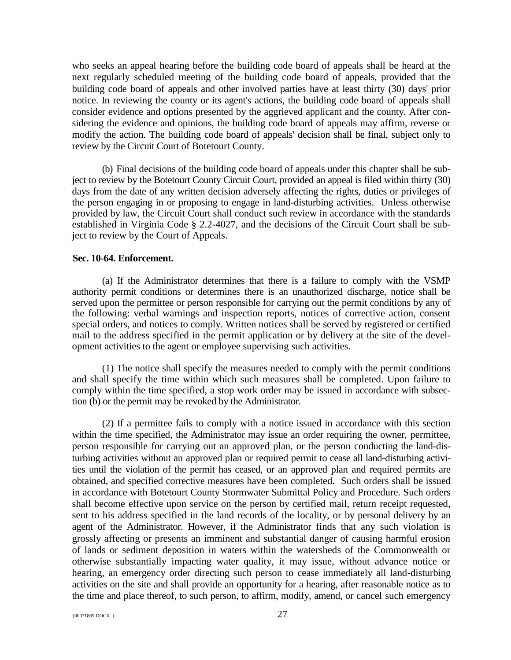who seeks an appeal hearing before the building code board of appeals shall be heard at the next regularly scheduled meeting of the building code board of appeals, provided that the building code board of appeals and other involved parties have at least thirty (30) days' prior notice. In reviewing the county or its agent's actions, the building code board of appeals shall consider evidence and options presented by the aggrieved applicant and the county. After considering the evidence and opinions, the building code board of appeals may affirm, reverse or modify the action. The building code board of appeals' decision shall be final, subject only to review by the Circuit Court of Botetourt County.

(b) Final decisions of the building code board of appeals under this chapter shall be subject to review by the Botetourt County Circuit Court, provided an appeal is filed within thirty (30) days from the date of any written decision adversely affecting the rights, duties or privileges of the person engaging in or proposing to engage in land-disturbing activities. Unless otherwise provided by law, the Circuit Court shall conduct such review in accordance with the standards established in Virginia Code § 2.2-4027, and the decisions of the Circuit Court shall be subject to review by the Court of Appeals.

## **Sec. 10-64. Enforcement.**

(a) If the Administrator determines that there is a failure to comply with the VSMP authority permit conditions or determines there is an unauthorized discharge, notice shall be served upon the permittee or person responsible for carrying out the permit conditions by any of the following: verbal warnings and inspection reports, notices of corrective action, consent special orders, and notices to comply. Written notices shall be served by registered or certified mail to the address specified in the permit application or by delivery at the site of the development activities to the agent or employee supervising such activities.

(1) The notice shall specify the measures needed to comply with the permit conditions and shall specify the time within which such measures shall be completed. Upon failure to comply within the time specified, a stop work order may be issued in accordance with subsection (b) or the permit may be revoked by the Administrator.

(2) If a permittee fails to comply with a notice issued in accordance with this section within the time specified, the Administrator may issue an order requiring the owner, permittee, person responsible for carrying out an approved plan, or the person conducting the land-disturbing activities without an approved plan or required permit to cease all land-disturbing activities until the violation of the permit has ceased, or an approved plan and required permits are obtained, and specified corrective measures have been completed. Such orders shall be issued in accordance with Botetourt County Stormwater Submittal Policy and Procedure. Such orders shall become effective upon service on the person by certified mail, return receipt requested, sent to his address specified in the land records of the locality, or by personal delivery by an agent of the Administrator. However, if the Administrator finds that any such violation is grossly affecting or presents an imminent and substantial danger of causing harmful erosion of lands or sediment deposition in waters within the watersheds of the Commonwealth or otherwise substantially impacting water quality, it may issue, without advance notice or hearing, an emergency order directing such person to cease immediately all land-disturbing activities on the site and shall provide an opportunity for a hearing, after reasonable notice as to the time and place thereof, to such person, to affirm, modify, amend, or cancel such emergency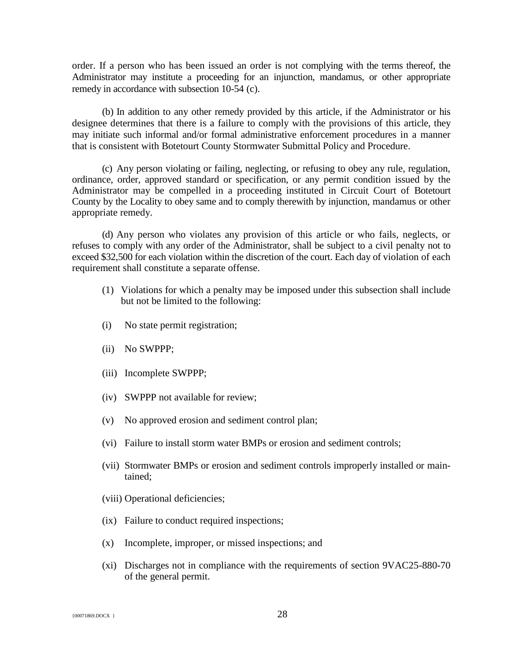order. If a person who has been issued an order is not complying with the terms thereof, the Administrator may institute a proceeding for an injunction, mandamus, or other appropriate remedy in accordance with subsection 10-54 (c).

(b) In addition to any other remedy provided by this article, if the Administrator or his designee determines that there is a failure to comply with the provisions of this article, they may initiate such informal and/or formal administrative enforcement procedures in a manner that is consistent with Botetourt County Stormwater Submittal Policy and Procedure.

(c) Any person violating or failing, neglecting, or refusing to obey any rule, regulation, ordinance, order, approved standard or specification, or any permit condition issued by the Administrator may be compelled in a proceeding instituted in Circuit Court of Botetourt County by the Locality to obey same and to comply therewith by injunction, mandamus or other appropriate remedy.

(d) Any person who violates any provision of this article or who fails, neglects, or refuses to comply with any order of the Administrator, shall be subject to a civil penalty not to exceed \$32,500 for each violation within the discretion of the court. Each day of violation of each requirement shall constitute a separate offense.

- (1) Violations for which a penalty may be imposed under this subsection shall include but not be limited to the following:
- (i) No state permit registration;
- (ii) No SWPPP;
- (iii) Incomplete SWPPP;
- (iv) SWPPP not available for review;
- (v) No approved erosion and sediment control plan;
- (vi) Failure to install storm water BMPs or erosion and sediment controls;
- (vii) Stormwater BMPs or erosion and sediment controls improperly installed or maintained;
- (viii) Operational deficiencies;
- (ix) Failure to conduct required inspections;
- (x) Incomplete, improper, or missed inspections; and
- (xi) Discharges not in compliance with the requirements of section 9VAC25-880-70 of the general permit.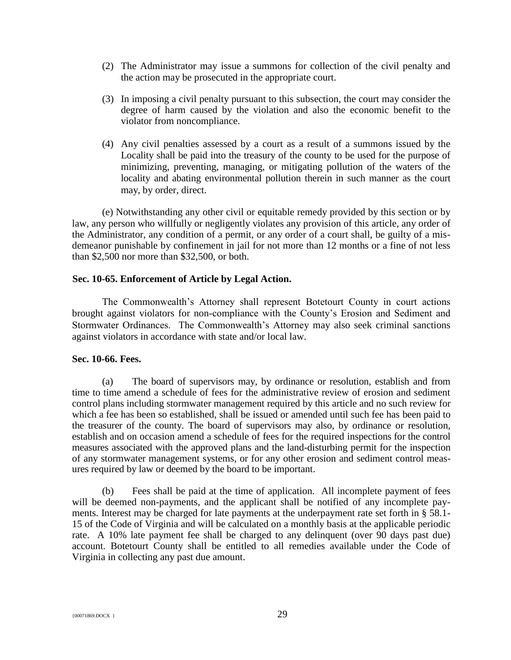- (2) The Administrator may issue a summons for collection of the civil penalty and the action may be prosecuted in the appropriate court.
- (3) In imposing a civil penalty pursuant to this subsection, the court may consider the degree of harm caused by the violation and also the economic benefit to the violator from noncompliance.
- (4) Any civil penalties assessed by a court as a result of a summons issued by the Locality shall be paid into the treasury of the county to be used for the purpose of minimizing, preventing, managing, or mitigating pollution of the waters of the locality and abating environmental pollution therein in such manner as the court may, by order, direct.

(e) Notwithstanding any other civil or equitable remedy provided by this section or by law, any person who willfully or negligently violates any provision of this article, any order of the Administrator, any condition of a permit, or any order of a court shall, be guilty of a misdemeanor punishable by confinement in jail for not more than 12 months or a fine of not less than \$2,500 nor more than \$32,500, or both.

## **Sec. 10-65. Enforcement of Article by Legal Action.**

The Commonwealth's Attorney shall represent Botetourt County in court actions brought against violators for non-compliance with the County's Erosion and Sediment and Stormwater Ordinances. The Commonwealth's Attorney may also seek criminal sanctions against violators in accordance with state and/or local law.

## **Sec. 10-66. Fees.**

(a) The board of supervisors may, by ordinance or resolution, establish and from time to time amend a schedule of fees for the administrative review of erosion and sediment control plans including stormwater management required by this article and no such review for which a fee has been so established, shall be issued or amended until such fee has been paid to the treasurer of the county. The board of supervisors may also, by ordinance or resolution, establish and on occasion amend a schedule of fees for the required inspections for the control measures associated with the approved plans and the land-disturbing permit for the inspection of any stormwater management systems, or for any other erosion and sediment control measures required by law or deemed by the board to be important.

(b) Fees shall be paid at the time of application. All incomplete payment of fees will be deemed non-payments, and the applicant shall be notified of any incomplete payments. Interest may be charged for late payments at the underpayment rate set forth in § 58.1- 15 of the Code of Virginia and will be calculated on a monthly basis at the applicable periodic rate. A 10% late payment fee shall be charged to any delinquent (over 90 days past due) account. Botetourt County shall be entitled to all remedies available under the Code of Virginia in collecting any past due amount.